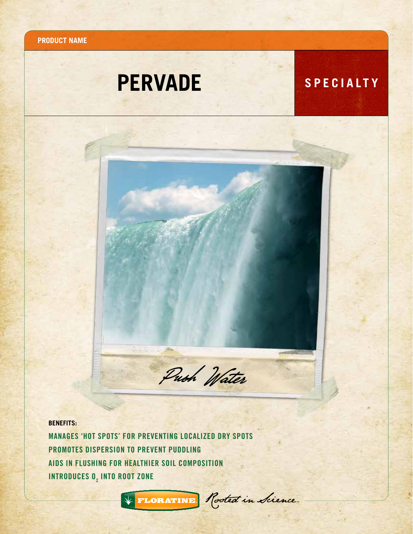**Product name**

# **PERVADE** SPECIALTY



**BENEFITS:**

Manages 'Hot Spots' for preventing localized dry spots PROMOTES DISPERSION TO PREVENT PUDDLING Aids in Flushing for healthier soil composition INTRODUCES  $\bm{0}_2$  into root zone



\* FLORATINE Rooted in Sience.